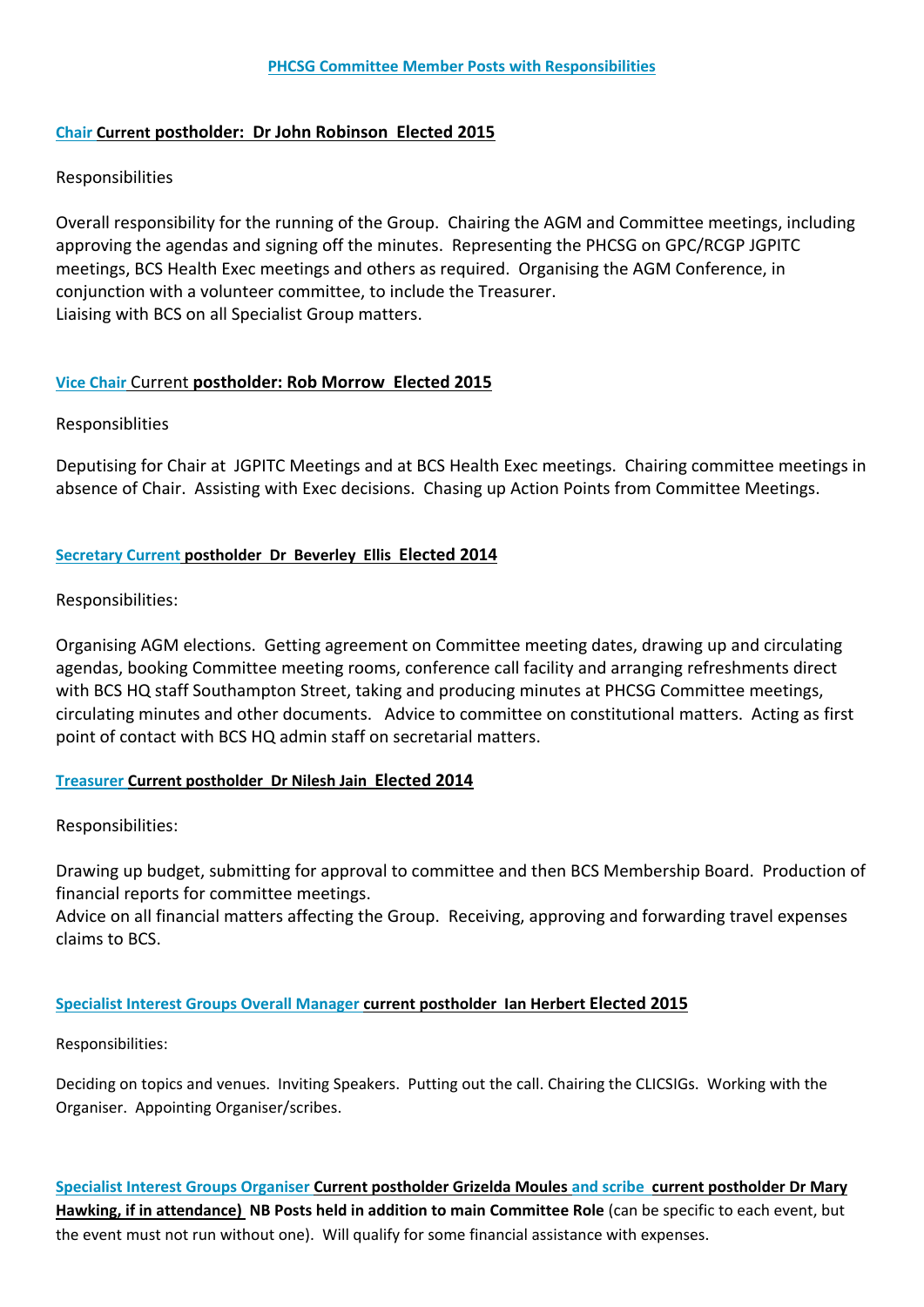# **Chair Current postholder: Dr John Robinson Elected 2015**

# Responsibilities

Overall responsibility for the running of the Group. Chairing the AGM and Committee meetings, including approving the agendas and signing off the minutes. Representing the PHCSG on GPC/RCGP JGPITC meetings, BCS Health Exec meetings and others as required. Organising the AGM Conference, in conjunction with a volunteer committee, to include the Treasurer. Liaising with BCS on all Specialist Group matters.

# **Vice Chair** Current **postholder: Rob Morrow Elected 2015**

# Responsiblities

Deputising for Chair at JGPITC Meetings and at BCS Health Exec meetings. Chairing committee meetings in absence of Chair. Assisting with Exec decisions. Chasing up Action Points from Committee Meetings.

# **Secretary Current postholder Dr Beverley Ellis Elected 2014**

# Responsibilities:

Organising AGM elections. Getting agreement on Committee meeting dates, drawing up and circulating agendas, booking Committee meeting rooms, conference call facility and arranging refreshments direct with BCS HQ staff Southampton Street, taking and producing minutes at PHCSG Committee meetings, circulating minutes and other documents. Advice to committee on constitutional matters. Acting as first point of contact with BCS HQ admin staff on secretarial matters.

# **Treasurer Current postholder Dr Nilesh Jain Elected 2014**

# Responsibilities:

Drawing up budget, submitting for approval to committee and then BCS Membership Board. Production of financial reports for committee meetings.

Advice on all financial matters affecting the Group. Receiving, approving and forwarding travel expenses claims to BCS.

# **Specialist Interest Groups Overall Manager current postholder Ian Herbert Elected 2015**

Responsibilities:

Deciding on topics and venues. Inviting Speakers. Putting out the call. Chairing the CLICSIGs. Working with the Organiser. Appointing Organiser/scribes.

**Specialist Interest Groups Organiser Current postholder Grizelda Moules and scribe current postholder Dr Mary Hawking, if in attendance) NB Posts held in addition to main Committee Role** (can be specific to each event, but the event must not run without one). Will qualify for some financial assistance with expenses.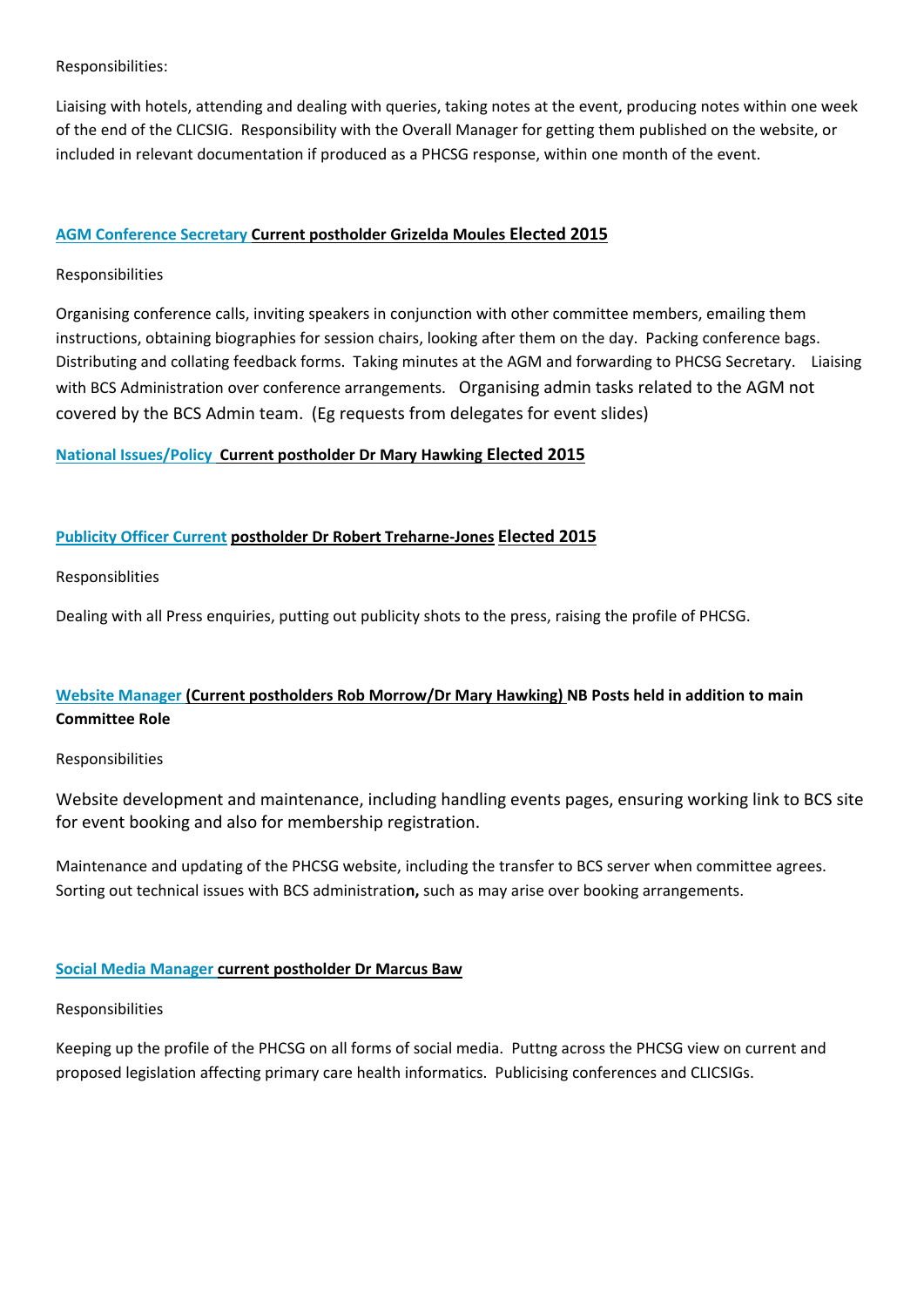Responsibilities:

Liaising with hotels, attending and dealing with queries, taking notes at the event, producing notes within one week of the end of the CLICSIG. Responsibility with the Overall Manager for getting them published on the website, or included in relevant documentation if produced as a PHCSG response, within one month of the event.

# **AGM Conference Secretary Current postholder Grizelda Moules Elected 2015**

# Responsibilities

Organising conference calls, inviting speakers in conjunction with other committee members, emailing them instructions, obtaining biographies for session chairs, looking after them on the day. Packing conference bags. Distributing and collating feedback forms. Taking minutes at the AGM and forwarding to PHCSG Secretary. Liaising with BCS Administration over conference arrangements. Organising admin tasks related to the AGM not covered by the BCS Admin team. (Eg requests from delegates for event slides)

# **National Issues/Policy Current postholder Dr Mary Hawking Elected 2015**

# **Publicity Officer Current postholder Dr Robert Treharne-Jones Elected 2015**

Responsiblities

Dealing with all Press enquiries, putting out publicity shots to the press, raising the profile of PHCSG.

# **Website Manager (Current postholders Rob Morrow/Dr Mary Hawking) NB Posts held in addition to main Committee Role**

# Responsibilities

Website development and maintenance, including handling events pages, ensuring working link to BCS site for event booking and also for membership registration.

Maintenance and updating of the PHCSG website, including the transfer to BCS server when committee agrees. Sorting out technical issues with BCS administratio**n,** such as may arise over booking arrangements.

# **Social Media Manager current postholder Dr Marcus Baw**

# Responsibilities

Keeping up the profile of the PHCSG on all forms of social media. Puttng across the PHCSG view on current and proposed legislation affecting primary care health informatics. Publicising conferences and CLICSIGs.